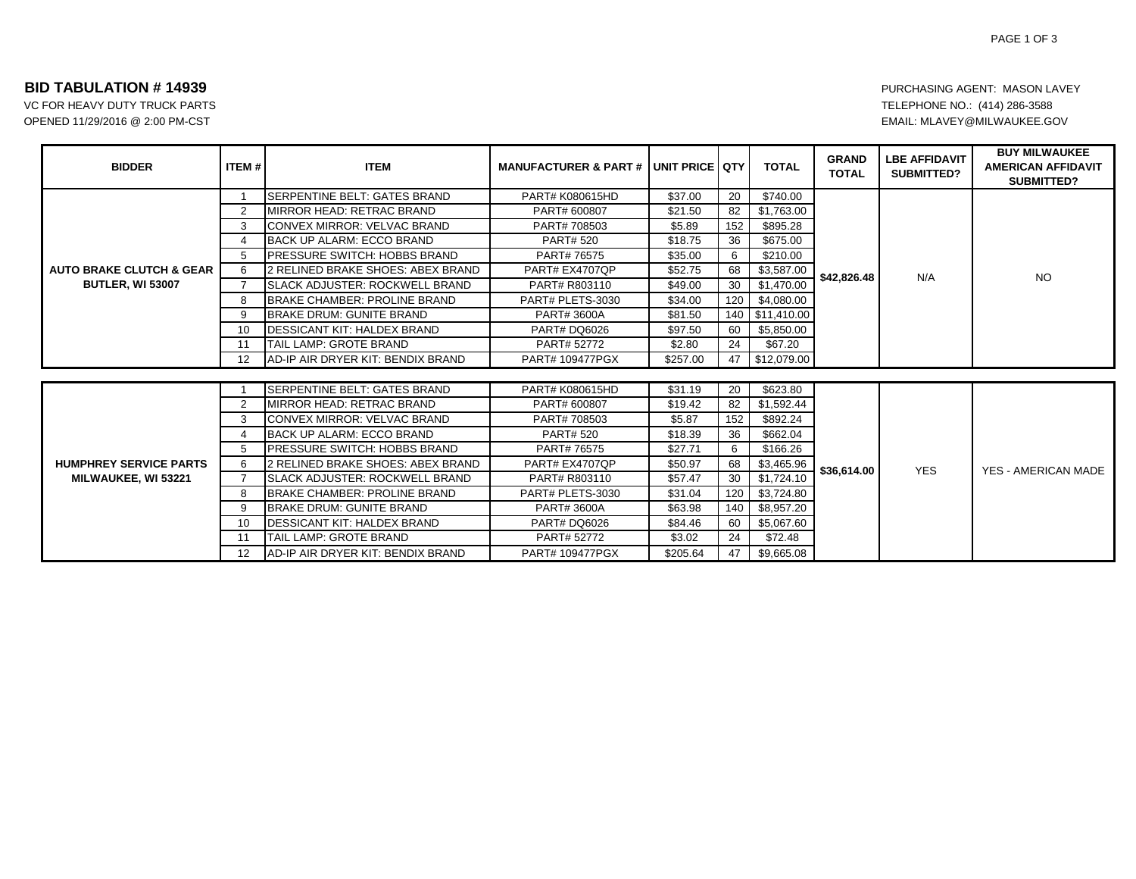## **BID TABULATION # 14939**

VC FOR HEAVY DUTY TRUCK PARTS OPENED 11/29/2016 @ 2:00 PM-CST

PAGE 1 OF 3

## PURCHASING AGENT: MASON LAVEY TELEPHONE NO.: (414) 286-3588 EMAIL: MLAVEY@MILWAUKEE.GOV

| <b>BIDDER</b>                                                  | ITEM#             | <b>ITEM</b>                           | <b>MANUFACTURER &amp; PART # JUNIT PRICE QTY</b> |          |     | <b>TOTAL</b>   | <b>GRAND</b><br><b>TOTAL</b> | <b>LBE AFFIDAVIT</b><br>SUBMITTED? | <b>BUY MILWAUKEE</b><br><b>AMERICAN AFFIDAVIT</b><br>SUBMITTED? |
|----------------------------------------------------------------|-------------------|---------------------------------------|--------------------------------------------------|----------|-----|----------------|------------------------------|------------------------------------|-----------------------------------------------------------------|
| <b>AUTO BRAKE CLUTCH &amp; GEAR</b><br><b>BUTLER, WI 53007</b> |                   | <b>SERPENTINE BELT: GATES BRAND</b>   | PART# K080615HD                                  | \$37.00  | 20  | \$740.00       |                              | N/A                                | N <sub>O</sub>                                                  |
|                                                                | 2                 | MIRROR HEAD: RETRAC BRAND             | PART# 600807                                     | \$21.50  | 82  | \$1,763.00     |                              |                                    |                                                                 |
|                                                                | 3                 | CONVEX MIRROR: VELVAC BRAND           | PART# 708503                                     | \$5.89   | 152 | \$895.28       |                              |                                    |                                                                 |
|                                                                | 4                 | <b>BACK UP ALARM: ECCO BRAND</b>      | <b>PART# 520</b>                                 | \$18.75  | 36  | \$675.00       |                              |                                    |                                                                 |
|                                                                | 5                 | <b>PRESSURE SWITCH: HOBBS BRAND</b>   | PART# 76575                                      | \$35.00  | 6   | \$210.00       |                              |                                    |                                                                 |
|                                                                | 6                 | 2 RELINED BRAKE SHOES: ABEX BRAND     | PART# EX4707QP                                   | \$52.75  | 68  | \$3,587.00     | \$42,826.48                  |                                    |                                                                 |
|                                                                | 7                 | <b>SLACK ADJUSTER: ROCKWELL BRAND</b> | PART# R803110                                    | \$49.00  | 30  | \$1,470.00     |                              |                                    |                                                                 |
|                                                                | 8                 | <b>BRAKE CHAMBER: PROLINE BRAND</b>   | PART# PLETS-3030                                 | \$34.00  | 120 | \$4,080.00     |                              |                                    |                                                                 |
|                                                                | 9                 | <b>BRAKE DRUM: GUNITE BRAND</b>       | <b>PART#3600A</b>                                | \$81.50  | 140 | \$11,410.00    |                              |                                    |                                                                 |
|                                                                | 10                | <b>DESSICANT KIT: HALDEX BRAND</b>    | <b>PART# DQ6026</b>                              | \$97.50  | 60  | \$5,850.00     |                              |                                    |                                                                 |
|                                                                | 11                | TAIL LAMP: GROTE BRAND                | PART# 52772                                      | \$2.80   | 24  | \$67.20        |                              |                                    |                                                                 |
|                                                                | $12 \overline{ }$ | AD-IP AIR DRYER KIT: BENDIX BRAND     | PART# 109477PGX                                  | \$257.00 |     | 47 \$12,079.00 |                              |                                    |                                                                 |
|                                                                |                   |                                       |                                                  |          |     |                |                              |                                    |                                                                 |
| <b>HUMPHREY SERVICE PARTS</b><br>MILWAUKEE, WI 53221           |                   | <b>SERPENTINE BELT: GATES BRAND</b>   | PART# K080615HD                                  | \$31.19  | 20  | \$623.80       | \$36,614.00                  | <b>YES</b>                         | <b>YES - AMERICAN MADE</b>                                      |
|                                                                | 2                 | MIRROR HEAD: RETRAC BRAND             | PART# 600807                                     | \$19.42  | 82  | \$1,592.44     |                              |                                    |                                                                 |
|                                                                | 3                 | CONVEX MIRROR: VELVAC BRAND           | PART# 708503                                     | \$5.87   | 152 | \$892.24       |                              |                                    |                                                                 |
|                                                                | 4                 | <b>BACK UP ALARM: ECCO BRAND</b>      | <b>PART# 520</b>                                 | \$18.39  | 36  | \$662.04       |                              |                                    |                                                                 |
|                                                                | 5                 | <b>PRESSURE SWITCH: HOBBS BRAND</b>   | PART# 76575                                      | \$27.71  | 6   | \$166.26       |                              |                                    |                                                                 |
|                                                                | 6                 | 2 RELINED BRAKE SHOES: ABEX BRAND     | PART# EX4707QP                                   | \$50.97  | 68  | \$3,465.96     |                              |                                    |                                                                 |
|                                                                |                   | <b>SLACK ADJUSTER: ROCKWELL BRAND</b> | PART# R803110                                    | \$57.47  | 30  | \$1,724.10     |                              |                                    |                                                                 |
|                                                                | 8                 | <b>BRAKE CHAMBER: PROLINE BRAND</b>   | PART# PLETS-3030                                 | \$31.04  | 120 | \$3,724.80     |                              |                                    |                                                                 |
|                                                                | 9                 | <b>BRAKE DRUM: GUNITE BRAND</b>       | PART# 3600A                                      | \$63.98  | 140 | \$8,957.20     |                              |                                    |                                                                 |
|                                                                | 10                | <b>DESSICANT KIT: HALDEX BRAND</b>    | <b>PART# DQ6026</b>                              | \$84.46  | 60  | \$5,067.60     |                              |                                    |                                                                 |
|                                                                | 11                | TAIL LAMP: GROTE BRAND                | PART# 52772                                      | \$3.02   | 24  | \$72.48        |                              |                                    |                                                                 |
|                                                                | $12 \overline{ }$ | AD-IP AIR DRYER KIT: BENDIX BRAND     | PART# 109477PGX                                  | \$205.64 | 47  | \$9,665.08     |                              |                                    |                                                                 |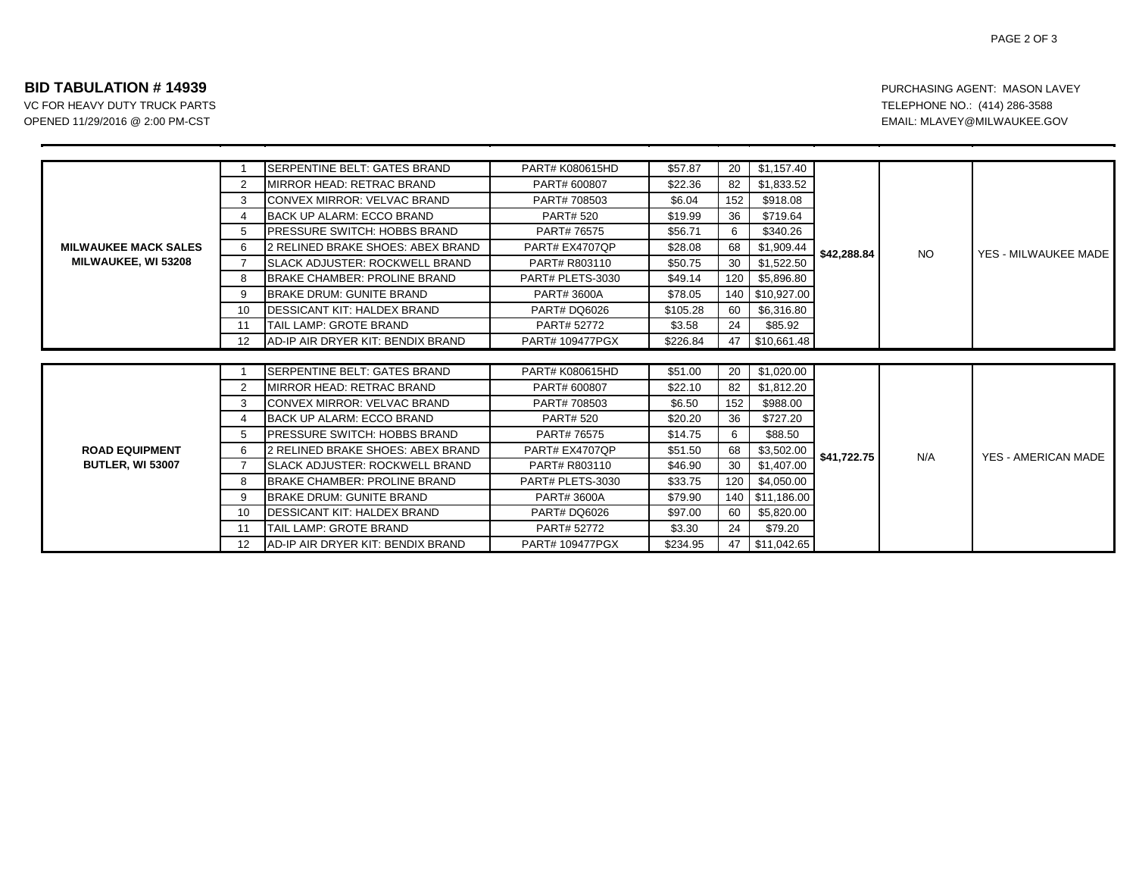## **BID TABULATION # 14939**

VC FOR HEAVY DUTY TRUCK PARTS OPENED 11/29/2016 @ 2:00 PM-CST

| <b>MILWAUKEE MACK SALES</b><br><b>MILWAUKEE, WI 53208</b> |                | <b>SERPENTINE BELT: GATES BRAND</b>       | PART# K080615HD        | \$57.87  | 20  | \$1,157.40      | \$42,288.84 | <b>NO</b> | YES - MILWAUKEE MADE |
|-----------------------------------------------------------|----------------|-------------------------------------------|------------------------|----------|-----|-----------------|-------------|-----------|----------------------|
|                                                           | 2              | MIRROR HEAD: RETRAC BRAND                 | PART# 600807           | \$22.36  | 82  | \$1,833.52      |             |           |                      |
|                                                           | 3              | <b>CONVEX MIRROR: VELVAC BRAND</b>        | PART# 708503           | \$6.04   | 152 | \$918.08        |             |           |                      |
|                                                           | 4              | BACK UP ALARM: ECCO BRAND                 | <b>PART# 520</b>       | \$19.99  | 36  | \$719.64        |             |           |                      |
|                                                           | 5              | <b>IPRESSURE SWITCH: HOBBS BRAND</b>      | PART# 76575            | \$56.71  | 6   | \$340.26        |             |           |                      |
|                                                           | 6              | 2 RELINED BRAKE SHOES: ABEX BRAND         | PART# EX4707QP         | \$28.08  | 68  | \$1,909.44      |             |           |                      |
|                                                           | $\overline{7}$ | <b>SLACK ADJUSTER: ROCKWELL BRAND</b>     | PART# R803110          | \$50.75  | 30  | \$1,522.50      |             |           |                      |
|                                                           | 8              | BRAKE CHAMBER: PROLINE BRAND              | PART# PLETS-3030       | \$49.14  | 120 | \$5,896.80      |             |           |                      |
|                                                           | 9              | <b>BRAKE DRUM: GUNITE BRAND</b>           | PART# 3600A            | \$78.05  | 140 | \$10,927.00     |             |           |                      |
|                                                           | 10             | <b>IDESSICANT KIT: HALDEX BRAND</b>       | <b>PART# DQ6026</b>    | \$105.28 | 60  | \$6,316.80      |             |           |                      |
|                                                           | 11             | <b>TAIL LAMP: GROTE BRAND</b>             | PART# 52772            | \$3.58   | 24  | \$85.92         |             |           |                      |
|                                                           | 12             | <b>JAD-IP AIR DRYER KIT: BENDIX BRAND</b> | <b>PART# 109477PGX</b> | \$226.84 |     | 47 \$10,661.48  |             |           |                      |
|                                                           |                |                                           |                        |          |     |                 |             |           |                      |
| <b>ROAD EQUIPMENT</b><br><b>BUTLER, WI 53007</b>          |                | SERPENTINE BELT: GATES BRAND              | PART# K080615HD        | \$51.00  | 20  | \$1,020.00      | \$41,722.75 | N/A       | YES - AMERICAN MADE  |
|                                                           | 2              | MIRROR HEAD: RETRAC BRAND                 | PART# 600807           | \$22.10  | 82  | \$1,812.20      |             |           |                      |
|                                                           | 3              | CONVEX MIRROR: VELVAC BRAND               | PART# 708503           | \$6.50   | 152 | \$988.00        |             |           |                      |
|                                                           | 4              | BACK UP ALARM: ECCO BRAND                 | <b>PART# 520</b>       | \$20.20  | 36  | \$727.20        |             |           |                      |
|                                                           | 5              | <b>PRESSURE SWITCH: HOBBS BRAND</b>       | PART# 76575            | \$14.75  | 6   | \$88.50         |             |           |                      |
|                                                           | 6              | 2 RELINED BRAKE SHOES: ABEX BRAND         | PART# EX4707QP         | \$51.50  | 68  | \$3,502.00      |             |           |                      |
|                                                           | $\overline{7}$ | <b>SLACK ADJUSTER: ROCKWELL BRAND</b>     | PART# R803110          | \$46.90  | 30  | \$1,407.00      |             |           |                      |
|                                                           | 8              | BRAKE CHAMBER: PROLINE BRAND              | PART# PLETS-3030       | \$33.75  | 120 | \$4,050.00      |             |           |                      |
|                                                           | 9              | <b>BRAKE DRUM: GUNITE BRAND</b>           | PART# 3600A            | \$79.90  |     | 140 \$11,186.00 |             |           |                      |
|                                                           | 10             | <b>DESSICANT KIT: HALDEX BRAND</b>        | <b>PART# DQ6026</b>    | \$97.00  | 60  | \$5,820.00      |             |           |                      |
|                                                           | 11             | <b>TAIL LAMP: GROTE BRAND</b>             | PART# 52772            | \$3.30   | 24  | \$79.20         |             |           |                      |
|                                                           | 12             | <b>AD-IP AIR DRYER KIT: BENDIX BRAND</b>  | <b>PART# 109477PGX</b> | \$234.95 | 47  | \$11,042.65     |             |           |                      |